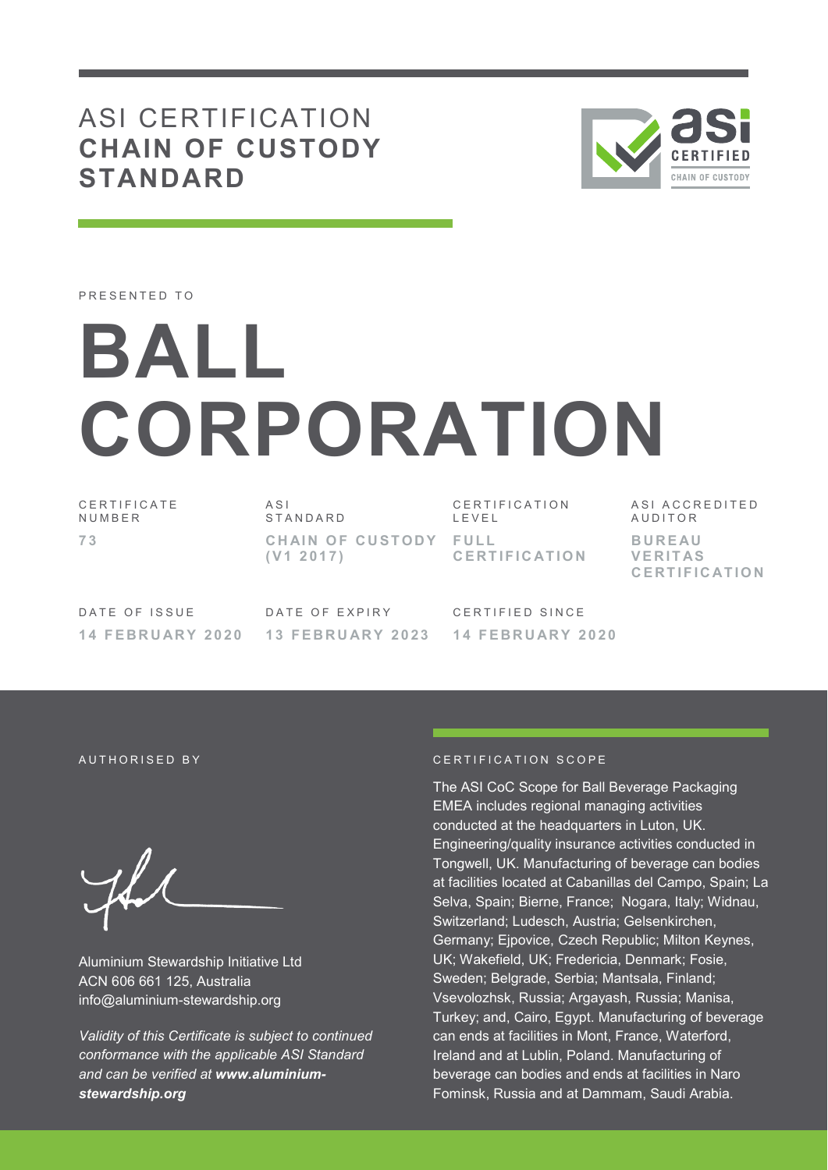# ASI CERTIFICATION **CHAIN OF CUSTODY STANDARD**



PRESENTED TO

# **BALL CORPORATION**

CERTIFICATE **NUMBER 7 3** 

A S I S T A N D A R D CHAIN OF CUSTODY FULL **( V 1 2 0 1 7 )** 

CERTIFICATION L E V E L **C E R T I F I C AT I O N**  A S I A C C R E D I T E D **AUDITOR B U R E AU V E R I T AS C E R T I F I C AT I O N**

DATE OF ISSUE **1 4 F E B R U AR Y 2 0 2 0** 

DATE OF EXPIRY **1 3 F E B R U AR Y 2 0 2 3** 

CERTIFIED SINCE **1 4 F E B R U AR Y 2 0 2 0** 

Aluminium Stewardship Initiative Ltd ACN 606 661 125, Australia info@aluminium-stewardship.org

*Validity of this Certificate is subject to continued conformance with the applicable ASI Standard and can be verified at www.aluminiumstewardship.org*

#### AUTHORISED BY **CERTIFICATION** SCOPE

The ASI CoC Scope for Ball Beverage Packaging EMEA includes regional managing activities conducted at the headquarters in Luton, UK. Engineering/quality insurance activities conducted in Tongwell, UK. Manufacturing of beverage can bodies at facilities located at Cabanillas del Campo, Spain; La Selva, Spain; Bierne, France; Nogara, Italy; Widnau, Switzerland; Ludesch, Austria; Gelsenkirchen, Germany; Ejpovice, Czech Republic; Milton Keynes, UK; Wakefield, UK; Fredericia, Denmark; Fosie, Sweden; Belgrade, Serbia; Mantsala, Finland; Vsevolozhsk, Russia; Argayash, Russia; Manisa, Turkey; and, Cairo, Egypt. Manufacturing of beverage can ends at facilities in Mont, France, Waterford, Ireland and at Lublin, Poland. Manufacturing of beverage can bodies and ends at facilities in Naro Fominsk, Russia and at Dammam, Saudi Arabia.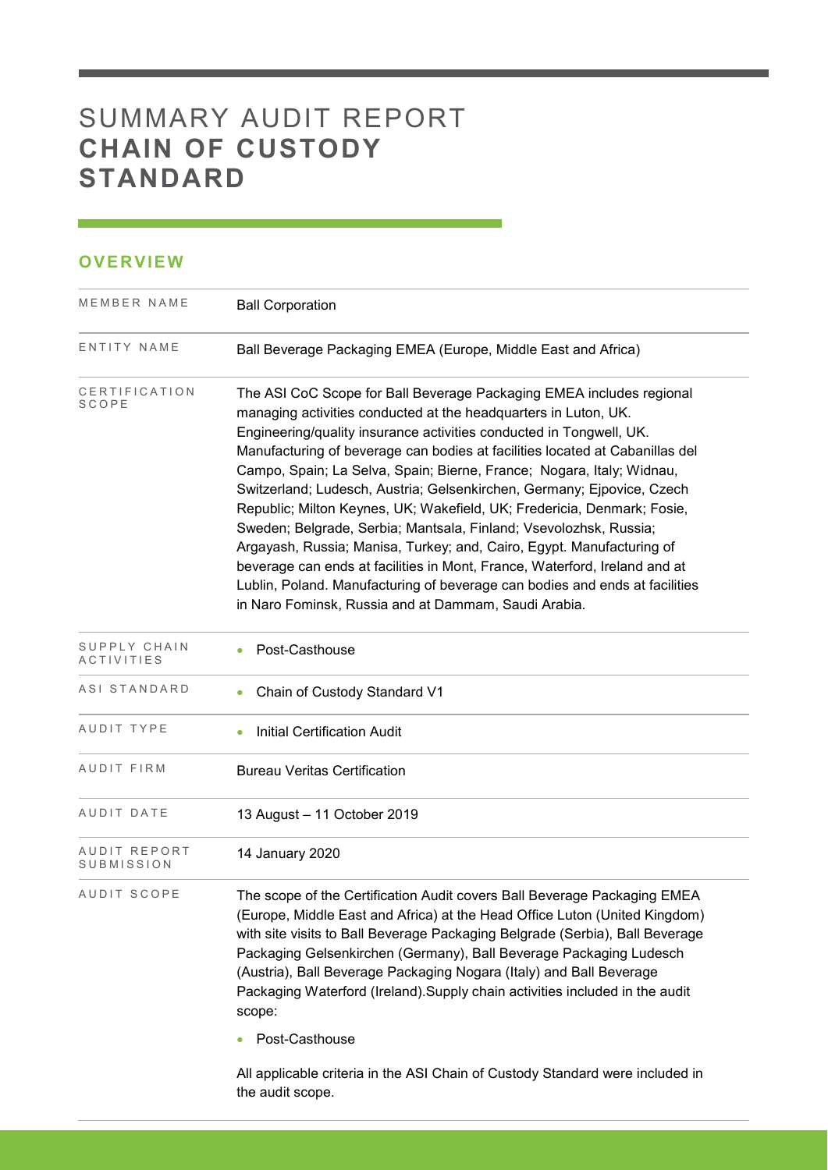# SUMMARY AUDIT REPORT **CHAIN OF CUSTODY STANDARD**

the audit scope.

### **OVERVIEW**

| MEMBER NAME                       | <b>Ball Corporation</b>                                                                                                                                                                                                                                                                                                                                                                                                                                                                                                                                                                                                                                                                                                                                                                                                                                                                         |
|-----------------------------------|-------------------------------------------------------------------------------------------------------------------------------------------------------------------------------------------------------------------------------------------------------------------------------------------------------------------------------------------------------------------------------------------------------------------------------------------------------------------------------------------------------------------------------------------------------------------------------------------------------------------------------------------------------------------------------------------------------------------------------------------------------------------------------------------------------------------------------------------------------------------------------------------------|
| ENTITY NAME                       | Ball Beverage Packaging EMEA (Europe, Middle East and Africa)                                                                                                                                                                                                                                                                                                                                                                                                                                                                                                                                                                                                                                                                                                                                                                                                                                   |
| CERTIFICATION<br>SCOPE            | The ASI CoC Scope for Ball Beverage Packaging EMEA includes regional<br>managing activities conducted at the headquarters in Luton, UK.<br>Engineering/quality insurance activities conducted in Tongwell, UK.<br>Manufacturing of beverage can bodies at facilities located at Cabanillas del<br>Campo, Spain; La Selva, Spain; Bierne, France; Nogara, Italy; Widnau,<br>Switzerland; Ludesch, Austria; Gelsenkirchen, Germany; Ejpovice, Czech<br>Republic; Milton Keynes, UK; Wakefield, UK; Fredericia, Denmark; Fosie,<br>Sweden; Belgrade, Serbia; Mantsala, Finland; Vsevolozhsk, Russia;<br>Argayash, Russia; Manisa, Turkey; and, Cairo, Egypt. Manufacturing of<br>beverage can ends at facilities in Mont, France, Waterford, Ireland and at<br>Lublin, Poland. Manufacturing of beverage can bodies and ends at facilities<br>in Naro Fominsk, Russia and at Dammam, Saudi Arabia. |
| SUPPLY CHAIN<br><b>ACTIVITIES</b> | Post-Casthouse                                                                                                                                                                                                                                                                                                                                                                                                                                                                                                                                                                                                                                                                                                                                                                                                                                                                                  |
| ASI STANDARD                      | Chain of Custody Standard V1                                                                                                                                                                                                                                                                                                                                                                                                                                                                                                                                                                                                                                                                                                                                                                                                                                                                    |
| AUDIT TYPE                        | <b>Initial Certification Audit</b>                                                                                                                                                                                                                                                                                                                                                                                                                                                                                                                                                                                                                                                                                                                                                                                                                                                              |
| AUDIT FIRM                        | <b>Bureau Veritas Certification</b>                                                                                                                                                                                                                                                                                                                                                                                                                                                                                                                                                                                                                                                                                                                                                                                                                                                             |
| AUDIT DATE                        | 13 August - 11 October 2019                                                                                                                                                                                                                                                                                                                                                                                                                                                                                                                                                                                                                                                                                                                                                                                                                                                                     |
| AUDIT REPORT<br>SUBMISSION        | 14 January 2020                                                                                                                                                                                                                                                                                                                                                                                                                                                                                                                                                                                                                                                                                                                                                                                                                                                                                 |
| AUDIT SCOPE                       | The scope of the Certification Audit covers Ball Beverage Packaging EMEA<br>(Europe, Middle East and Africa) at the Head Office Luton (United Kingdom)<br>with site visits to Ball Beverage Packaging Belgrade (Serbia), Ball Beverage<br>Packaging Gelsenkirchen (Germany), Ball Beverage Packaging Ludesch<br>(Austria), Ball Beverage Packaging Nogara (Italy) and Ball Beverage<br>Packaging Waterford (Ireland). Supply chain activities included in the audit<br>scope:<br>Post-Casthouse<br>All applicable criteria in the ASI Chain of Custody Standard were included in                                                                                                                                                                                                                                                                                                                |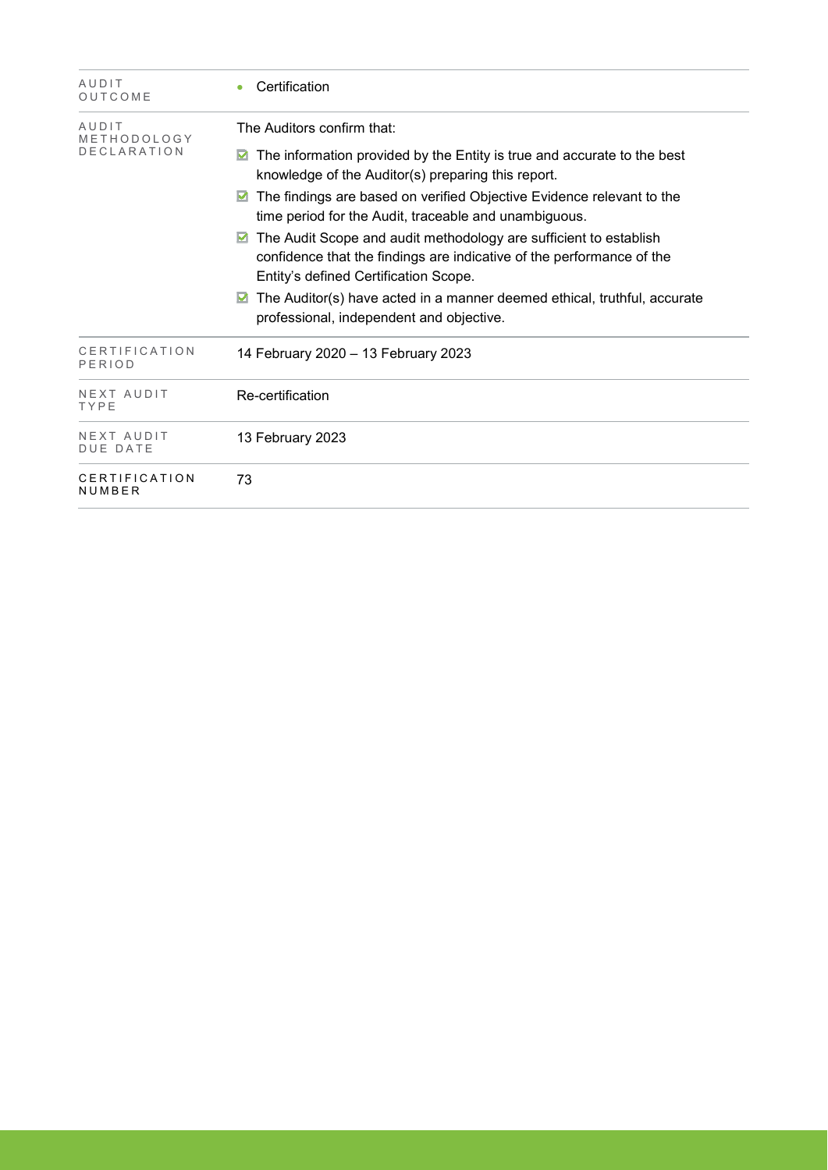| AUDIT<br>OUTCOME                           | Certification                                                                                                                                                                                                                                                                                                                                                                                                                                                                                                                                                                                                               |
|--------------------------------------------|-----------------------------------------------------------------------------------------------------------------------------------------------------------------------------------------------------------------------------------------------------------------------------------------------------------------------------------------------------------------------------------------------------------------------------------------------------------------------------------------------------------------------------------------------------------------------------------------------------------------------------|
| AUDIT<br>METHODOLOGY<br><b>DECLARATION</b> | The Auditors confirm that:<br>The information provided by the Entity is true and accurate to the best<br>M<br>knowledge of the Auditor(s) preparing this report.<br>The findings are based on verified Objective Evidence relevant to the<br>time period for the Audit, traceable and unambiguous.<br>The Audit Scope and audit methodology are sufficient to establish<br>☑<br>confidence that the findings are indicative of the performance of the<br>Entity's defined Certification Scope.<br>The Auditor(s) have acted in a manner deemed ethical, truthful, accurate<br>M<br>professional, independent and objective. |
| CERTIFICATION<br>PERIOD                    | 14 February 2020 - 13 February 2023                                                                                                                                                                                                                                                                                                                                                                                                                                                                                                                                                                                         |
| NEXT AUDIT<br>TYPE                         | Re-certification                                                                                                                                                                                                                                                                                                                                                                                                                                                                                                                                                                                                            |
| NEXT AUDIT<br><b>DUE DATE</b>              | 13 February 2023                                                                                                                                                                                                                                                                                                                                                                                                                                                                                                                                                                                                            |
| CERTIFICATION<br>NUMBER                    | 73                                                                                                                                                                                                                                                                                                                                                                                                                                                                                                                                                                                                                          |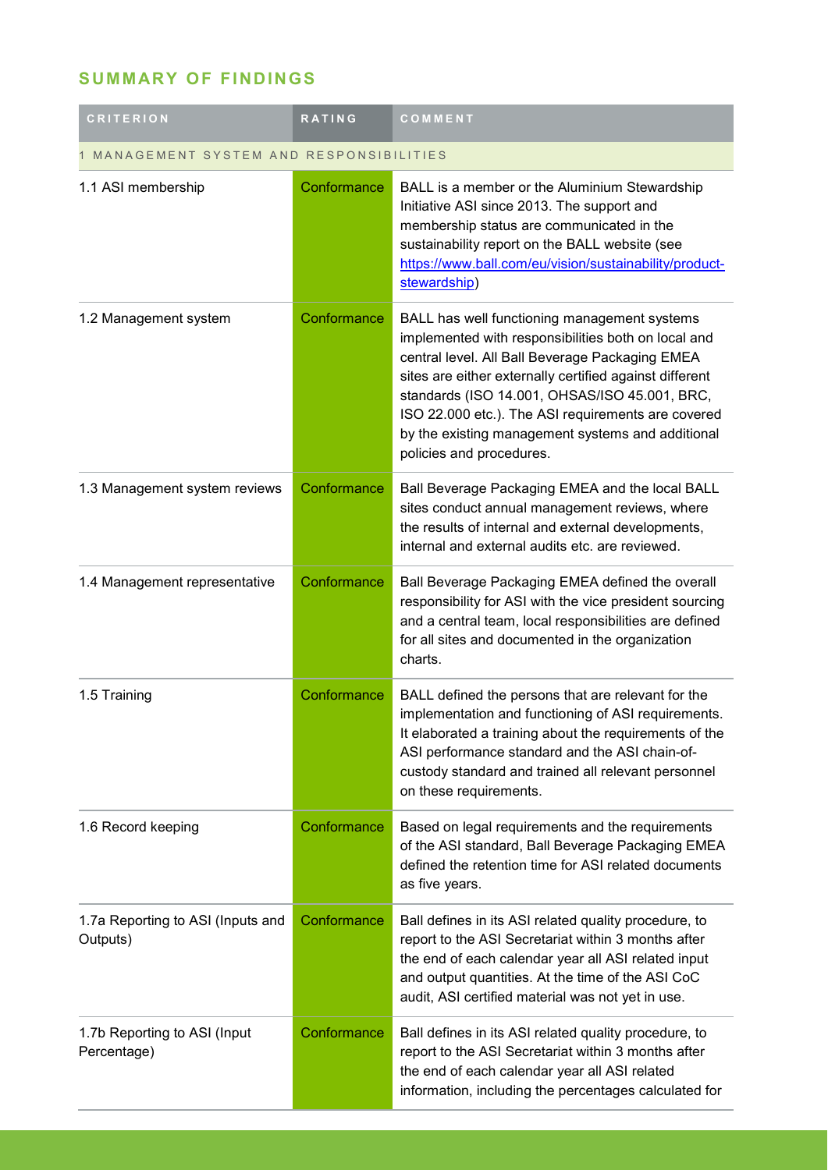## **SUMMARY OF FINDINGS**

| <b>CRITERION</b>                              | <b>RATING</b> | COMMENT                                                                                                                                                                                                                                                                                                                                                                                                   |  |
|-----------------------------------------------|---------------|-----------------------------------------------------------------------------------------------------------------------------------------------------------------------------------------------------------------------------------------------------------------------------------------------------------------------------------------------------------------------------------------------------------|--|
| MANAGEMENT SYSTEM AND RESPONSIBILITIES        |               |                                                                                                                                                                                                                                                                                                                                                                                                           |  |
| 1.1 ASI membership                            | Conformance   | BALL is a member or the Aluminium Stewardship<br>Initiative ASI since 2013. The support and<br>membership status are communicated in the<br>sustainability report on the BALL website (see<br>https://www.ball.com/eu/vision/sustainability/product-<br>stewardship)                                                                                                                                      |  |
| 1.2 Management system                         | Conformance   | BALL has well functioning management systems<br>implemented with responsibilities both on local and<br>central level. All Ball Beverage Packaging EMEA<br>sites are either externally certified against different<br>standards (ISO 14.001, OHSAS/ISO 45.001, BRC,<br>ISO 22.000 etc.). The ASI requirements are covered<br>by the existing management systems and additional<br>policies and procedures. |  |
| 1.3 Management system reviews                 | Conformance   | Ball Beverage Packaging EMEA and the local BALL<br>sites conduct annual management reviews, where<br>the results of internal and external developments,<br>internal and external audits etc. are reviewed.                                                                                                                                                                                                |  |
| 1.4 Management representative                 | Conformance   | Ball Beverage Packaging EMEA defined the overall<br>responsibility for ASI with the vice president sourcing<br>and a central team, local responsibilities are defined<br>for all sites and documented in the organization<br>charts.                                                                                                                                                                      |  |
| 1.5 Training                                  | Conformance   | BALL defined the persons that are relevant for the<br>implementation and functioning of ASI requirements.<br>It elaborated a training about the requirements of the<br>ASI performance standard and the ASI chain-of-<br>custody standard and trained all relevant personnel<br>on these requirements.                                                                                                    |  |
| 1.6 Record keeping                            | Conformance   | Based on legal requirements and the requirements<br>of the ASI standard, Ball Beverage Packaging EMEA<br>defined the retention time for ASI related documents<br>as five years.                                                                                                                                                                                                                           |  |
| 1.7a Reporting to ASI (Inputs and<br>Outputs) | Conformance   | Ball defines in its ASI related quality procedure, to<br>report to the ASI Secretariat within 3 months after<br>the end of each calendar year all ASI related input<br>and output quantities. At the time of the ASI CoC<br>audit, ASI certified material was not yet in use.                                                                                                                             |  |
| 1.7b Reporting to ASI (Input<br>Percentage)   | Conformance   | Ball defines in its ASI related quality procedure, to<br>report to the ASI Secretariat within 3 months after<br>the end of each calendar year all ASI related<br>information, including the percentages calculated for                                                                                                                                                                                    |  |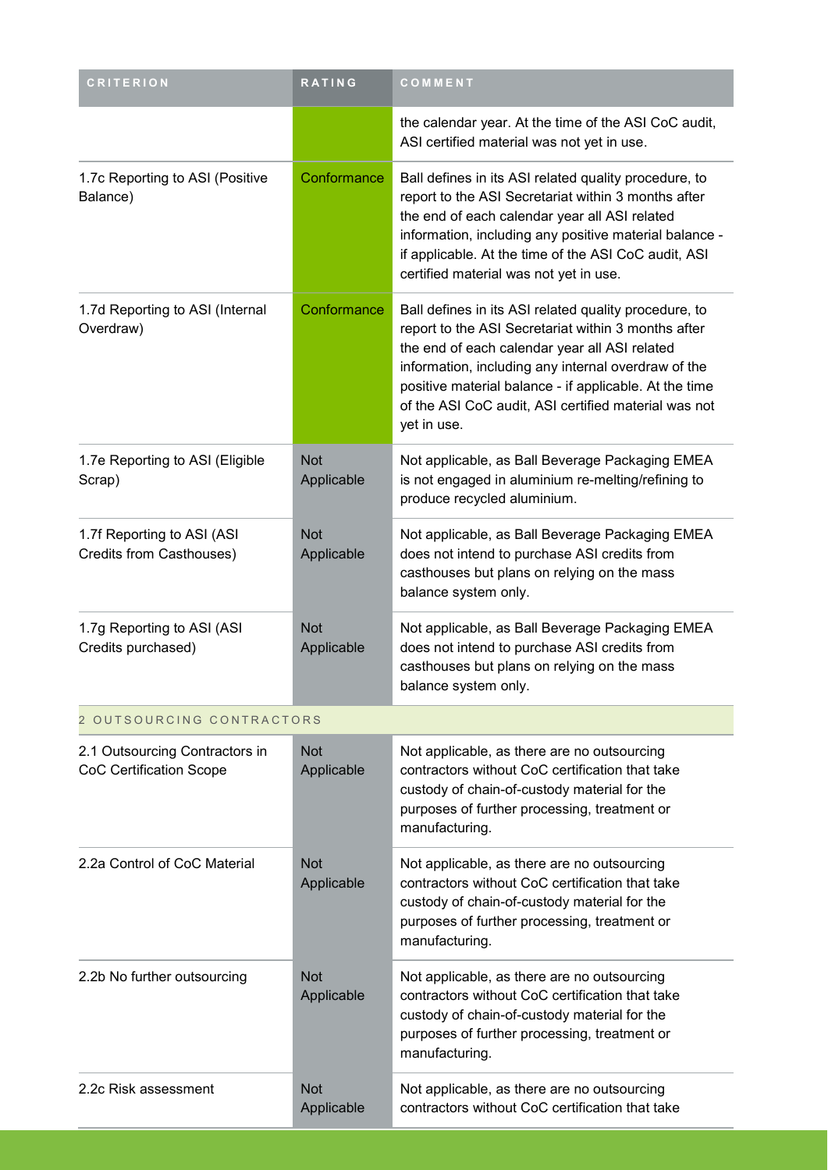| <b>CRITERION</b>                                                 | RATING                   | COMMENT                                                                                                                                                                                                                                                                                                                                               |  |
|------------------------------------------------------------------|--------------------------|-------------------------------------------------------------------------------------------------------------------------------------------------------------------------------------------------------------------------------------------------------------------------------------------------------------------------------------------------------|--|
|                                                                  |                          | the calendar year. At the time of the ASI CoC audit,<br>ASI certified material was not yet in use.                                                                                                                                                                                                                                                    |  |
| 1.7c Reporting to ASI (Positive<br>Balance)                      | Conformance              | Ball defines in its ASI related quality procedure, to<br>report to the ASI Secretariat within 3 months after<br>the end of each calendar year all ASI related<br>information, including any positive material balance -<br>if applicable. At the time of the ASI CoC audit, ASI<br>certified material was not yet in use.                             |  |
| 1.7d Reporting to ASI (Internal<br>Overdraw)                     | Conformance              | Ball defines in its ASI related quality procedure, to<br>report to the ASI Secretariat within 3 months after<br>the end of each calendar year all ASI related<br>information, including any internal overdraw of the<br>positive material balance - if applicable. At the time<br>of the ASI CoC audit, ASI certified material was not<br>yet in use. |  |
| 1.7e Reporting to ASI (Eligible<br>Scrap)                        | <b>Not</b><br>Applicable | Not applicable, as Ball Beverage Packaging EMEA<br>is not engaged in aluminium re-melting/refining to<br>produce recycled aluminium.                                                                                                                                                                                                                  |  |
| 1.7f Reporting to ASI (ASI<br>Credits from Casthouses)           | <b>Not</b><br>Applicable | Not applicable, as Ball Beverage Packaging EMEA<br>does not intend to purchase ASI credits from<br>casthouses but plans on relying on the mass<br>balance system only.                                                                                                                                                                                |  |
| 1.7g Reporting to ASI (ASI<br>Credits purchased)                 | <b>Not</b><br>Applicable | Not applicable, as Ball Beverage Packaging EMEA<br>does not intend to purchase ASI credits from<br>casthouses but plans on relying on the mass<br>balance system only.                                                                                                                                                                                |  |
| 2 OUTSOURCING CONTRACTORS                                        |                          |                                                                                                                                                                                                                                                                                                                                                       |  |
| 2.1 Outsourcing Contractors in<br><b>CoC Certification Scope</b> | <b>Not</b><br>Applicable | Not applicable, as there are no outsourcing<br>contractors without CoC certification that take<br>custody of chain-of-custody material for the<br>purposes of further processing, treatment or<br>manufacturing.                                                                                                                                      |  |
| 2.2a Control of CoC Material                                     | <b>Not</b><br>Applicable | Not applicable, as there are no outsourcing<br>contractors without CoC certification that take<br>custody of chain-of-custody material for the<br>purposes of further processing, treatment or<br>manufacturing.                                                                                                                                      |  |
| 2.2b No further outsourcing                                      | <b>Not</b><br>Applicable | Not applicable, as there are no outsourcing<br>contractors without CoC certification that take<br>custody of chain-of-custody material for the<br>purposes of further processing, treatment or<br>manufacturing.                                                                                                                                      |  |
| 2.2c Risk assessment                                             | <b>Not</b><br>Applicable | Not applicable, as there are no outsourcing<br>contractors without CoC certification that take                                                                                                                                                                                                                                                        |  |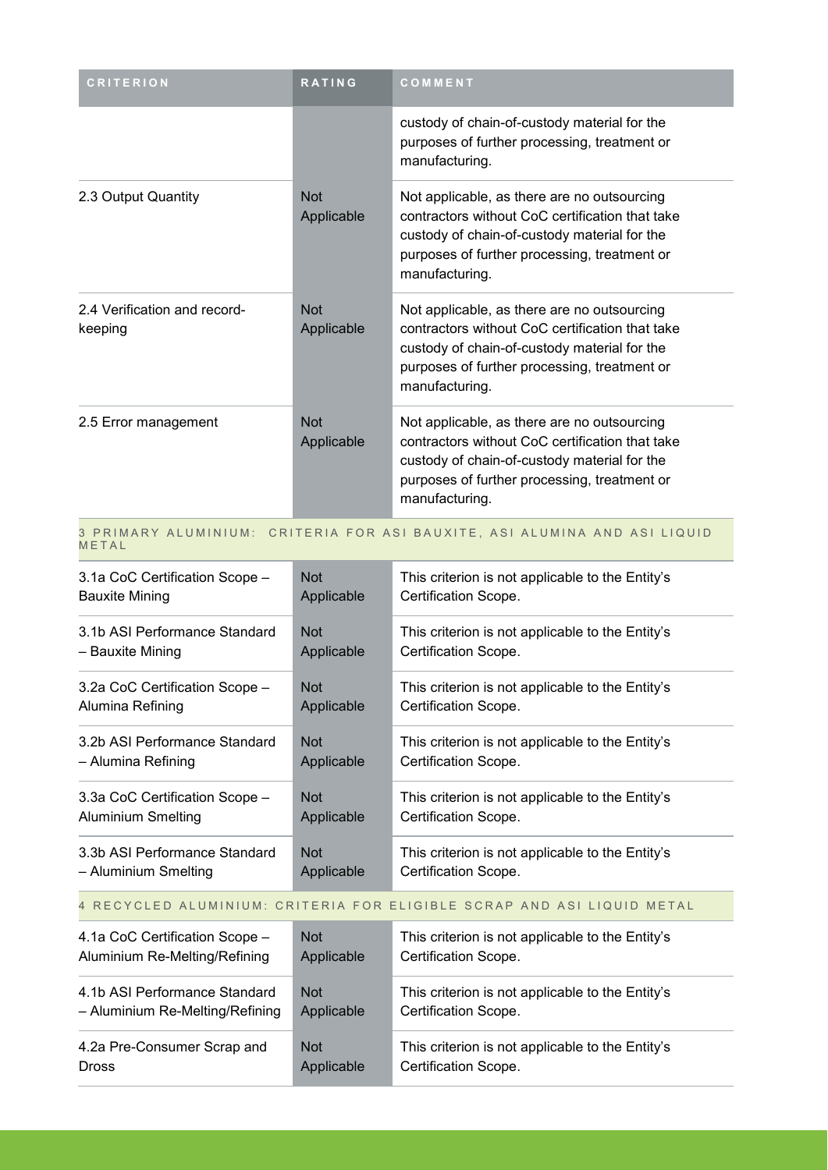| <b>CRITERION</b>                        | <b>RATING</b>            | COMMENT                                                                                                                                                                                                          |
|-----------------------------------------|--------------------------|------------------------------------------------------------------------------------------------------------------------------------------------------------------------------------------------------------------|
|                                         |                          | custody of chain-of-custody material for the<br>purposes of further processing, treatment or<br>manufacturing.                                                                                                   |
| 2.3 Output Quantity                     | <b>Not</b><br>Applicable | Not applicable, as there are no outsourcing<br>contractors without CoC certification that take<br>custody of chain-of-custody material for the<br>purposes of further processing, treatment or<br>manufacturing. |
| 2.4 Verification and record-<br>keeping | <b>Not</b><br>Applicable | Not applicable, as there are no outsourcing<br>contractors without CoC certification that take<br>custody of chain-of-custody material for the<br>purposes of further processing, treatment or<br>manufacturing. |
| 2.5 Error management                    | <b>Not</b><br>Applicable | Not applicable, as there are no outsourcing<br>contractors without CoC certification that take<br>custody of chain-of-custody material for the<br>purposes of further processing, treatment or<br>manufacturing. |

#### 3 PRIMARY ALUMINIUM: CRITERIA FOR ASI BAUXITE, ASI ALUMINA AND ASI LIQUID M E T A L

| 3.1a CoC Certification Scope -                                         | <b>Not</b>   | This criterion is not applicable to the Entity's |
|------------------------------------------------------------------------|--------------|--------------------------------------------------|
| <b>Bauxite Mining</b>                                                  | Applicable   | Certification Scope.                             |
| 3.1b ASI Performance Standard                                          | <b>Not</b>   | This criterion is not applicable to the Entity's |
| - Bauxite Mining                                                       | Applicable   | Certification Scope.                             |
| 3.2a CoC Certification Scope -                                         | <b>Not</b>   | This criterion is not applicable to the Entity's |
| Alumina Refining                                                       | Applicable   | Certification Scope.                             |
| 3.2b ASI Performance Standard                                          | <b>Not</b>   | This criterion is not applicable to the Entity's |
| - Alumina Refining                                                     | Applicable   | Certification Scope.                             |
| 3.3a CoC Certification Scope -                                         | <b>Not</b>   | This criterion is not applicable to the Entity's |
| <b>Aluminium Smelting</b>                                              | Applicable   | Certification Scope.                             |
| 3.3b ASI Performance Standard                                          | <b>Not</b>   | This criterion is not applicable to the Entity's |
| - Aluminium Smelting                                                   | Applicable   | Certification Scope.                             |
| 4 RECYCLED ALUMINIUM: CRITERIA FOR ELIGIBLE SCRAP AND ASI LIQUID METAL |              |                                                  |
| 1.10 CoC Cortification Reapo                                           | $N_{\alpha}$ | This eriterian is not applicable to the Entity's |

| 4.1a CoC Certification Scope -  | <b>Not</b> | This criterion is not applicable to the Entity's |
|---------------------------------|------------|--------------------------------------------------|
| Aluminium Re-Melting/Refining   | Applicable | Certification Scope.                             |
| 4.1b ASI Performance Standard   | <b>Not</b> | This criterion is not applicable to the Entity's |
| - Aluminium Re-Melting/Refining | Applicable | Certification Scope.                             |
| 4.2a Pre-Consumer Scrap and     | <b>Not</b> | This criterion is not applicable to the Entity's |
| <b>Dross</b>                    | Applicable | Certification Scope.                             |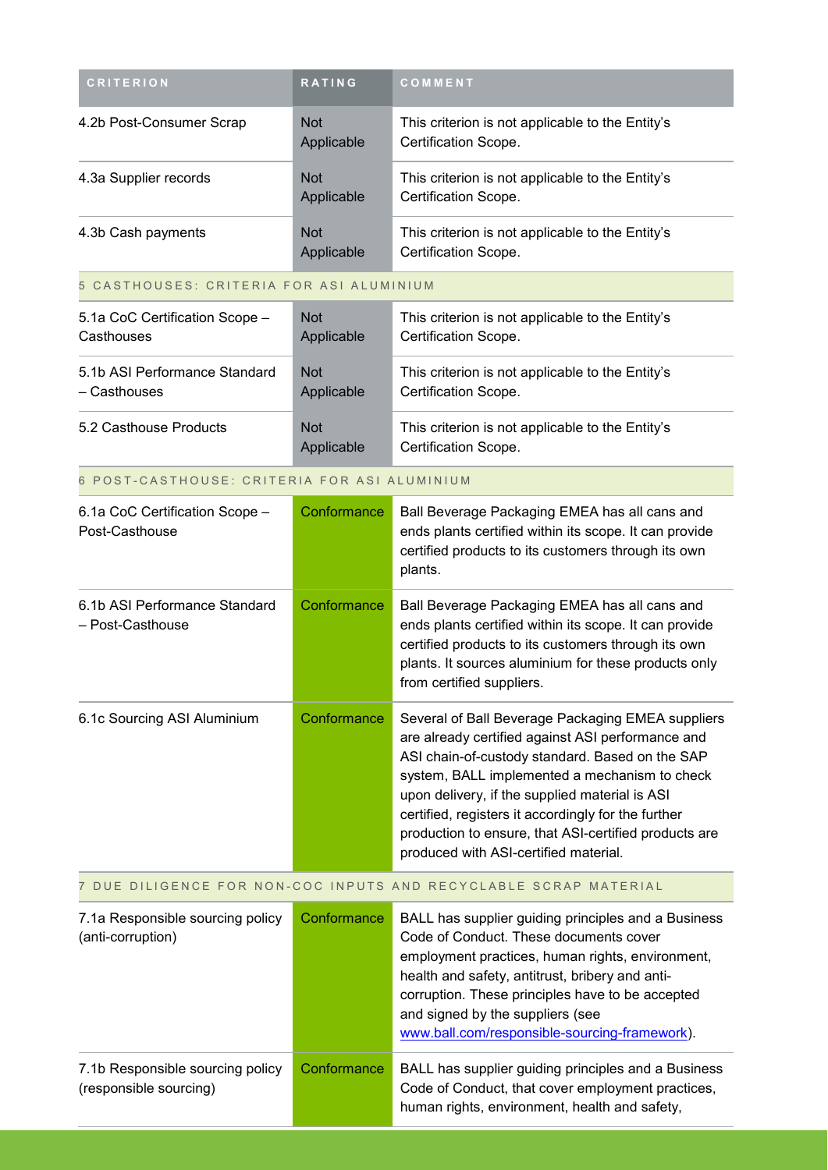| <b>CRITERION</b>                                           | RATING                   | COMMENT                                                                                                                                                                                                                                                                                                                                                                                                               |
|------------------------------------------------------------|--------------------------|-----------------------------------------------------------------------------------------------------------------------------------------------------------------------------------------------------------------------------------------------------------------------------------------------------------------------------------------------------------------------------------------------------------------------|
| 4.2b Post-Consumer Scrap                                   | <b>Not</b><br>Applicable | This criterion is not applicable to the Entity's<br>Certification Scope.                                                                                                                                                                                                                                                                                                                                              |
| 4.3a Supplier records                                      | <b>Not</b><br>Applicable | This criterion is not applicable to the Entity's<br>Certification Scope.                                                                                                                                                                                                                                                                                                                                              |
| 4.3b Cash payments                                         | <b>Not</b><br>Applicable | This criterion is not applicable to the Entity's<br>Certification Scope.                                                                                                                                                                                                                                                                                                                                              |
| 5 CASTHOUSES: CRITERIA FOR ASI ALUMINIUM                   |                          |                                                                                                                                                                                                                                                                                                                                                                                                                       |
| 5.1a CoC Certification Scope -<br>Casthouses               | <b>Not</b><br>Applicable | This criterion is not applicable to the Entity's<br>Certification Scope.                                                                                                                                                                                                                                                                                                                                              |
| 5.1b ASI Performance Standard<br>- Casthouses              | <b>Not</b><br>Applicable | This criterion is not applicable to the Entity's<br>Certification Scope.                                                                                                                                                                                                                                                                                                                                              |
| 5.2 Casthouse Products                                     | <b>Not</b><br>Applicable | This criterion is not applicable to the Entity's<br>Certification Scope.                                                                                                                                                                                                                                                                                                                                              |
| 6 POST-CASTHOUSE: CRITERIA FOR ASI ALUMINIUM               |                          |                                                                                                                                                                                                                                                                                                                                                                                                                       |
| 6.1a CoC Certification Scope -<br>Post-Casthouse           | Conformance              | Ball Beverage Packaging EMEA has all cans and<br>ends plants certified within its scope. It can provide<br>certified products to its customers through its own<br>plants.                                                                                                                                                                                                                                             |
| 6.1b ASI Performance Standard<br>- Post-Casthouse          | Conformance              | Ball Beverage Packaging EMEA has all cans and<br>ends plants certified within its scope. It can provide<br>certified products to its customers through its own<br>plants. It sources aluminium for these products only<br>from certified suppliers.                                                                                                                                                                   |
| 6.1c Sourcing ASI Aluminium                                | Conformance              | Several of Ball Beverage Packaging EMEA suppliers<br>are already certified against ASI performance and<br>ASI chain-of-custody standard. Based on the SAP<br>system, BALL implemented a mechanism to check<br>upon delivery, if the supplied material is ASI<br>certified, registers it accordingly for the further<br>production to ensure, that ASI-certified products are<br>produced with ASI-certified material. |
|                                                            |                          | DUE DILIGENCE FOR NON-COC INPUTS AND RECYCLABLE SCRAP MATERIAL                                                                                                                                                                                                                                                                                                                                                        |
| 7.1a Responsible sourcing policy<br>(anti-corruption)      | Conformance              | BALL has supplier guiding principles and a Business<br>Code of Conduct. These documents cover<br>employment practices, human rights, environment,<br>health and safety, antitrust, bribery and anti-<br>corruption. These principles have to be accepted<br>and signed by the suppliers (see<br>www.ball.com/responsible-sourcing-framework).                                                                         |
| 7.1b Responsible sourcing policy<br>(responsible sourcing) | Conformance              | BALL has supplier guiding principles and a Business<br>Code of Conduct, that cover employment practices,<br>human rights, environment, health and safety,                                                                                                                                                                                                                                                             |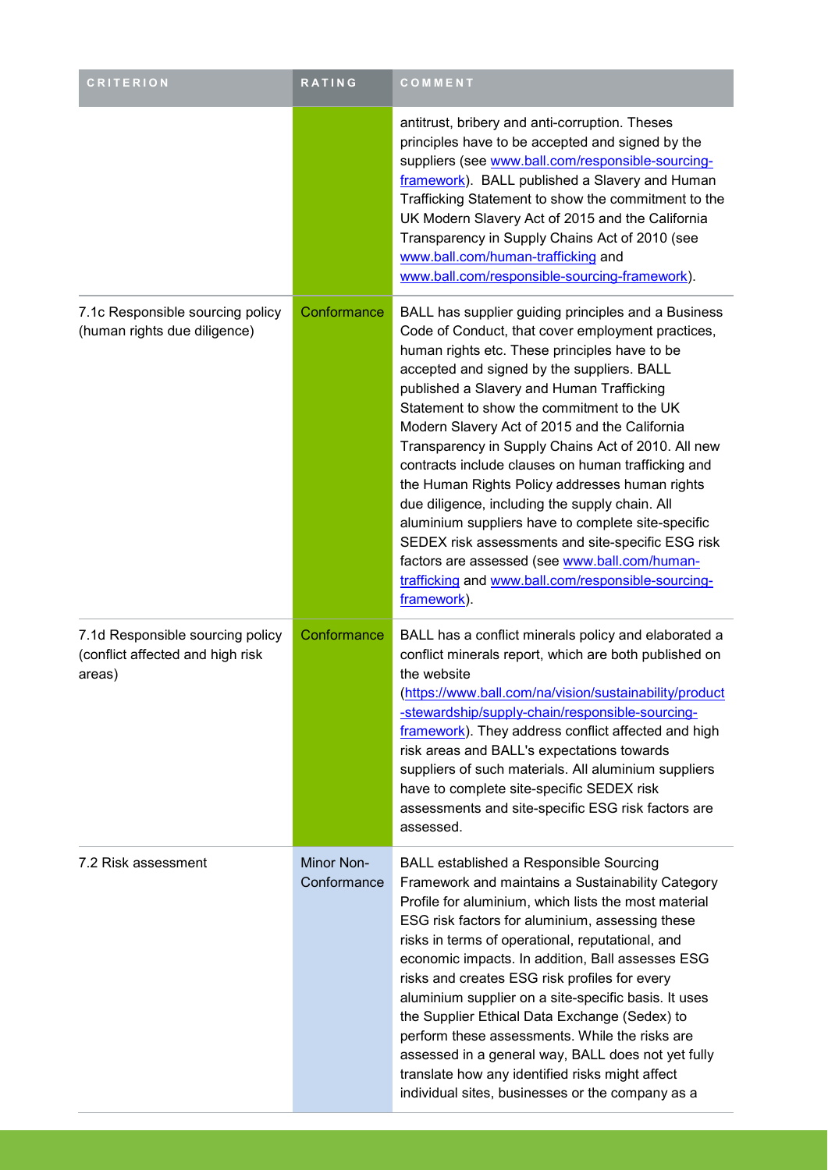| <b>CRITERION</b>                                                               | RATING                    | COMMENT                                                                                                                                                                                                                                                                                                                                                                                                                                                                                                                                                                                                                                                                                                                                                                                              |
|--------------------------------------------------------------------------------|---------------------------|------------------------------------------------------------------------------------------------------------------------------------------------------------------------------------------------------------------------------------------------------------------------------------------------------------------------------------------------------------------------------------------------------------------------------------------------------------------------------------------------------------------------------------------------------------------------------------------------------------------------------------------------------------------------------------------------------------------------------------------------------------------------------------------------------|
|                                                                                |                           | antitrust, bribery and anti-corruption. Theses<br>principles have to be accepted and signed by the<br>suppliers (see www.ball.com/responsible-sourcing-<br>framework). BALL published a Slavery and Human<br>Trafficking Statement to show the commitment to the<br>UK Modern Slavery Act of 2015 and the California<br>Transparency in Supply Chains Act of 2010 (see<br>www.ball.com/human-trafficking and<br>www.ball.com/responsible-sourcing-framework).                                                                                                                                                                                                                                                                                                                                        |
| 7.1c Responsible sourcing policy<br>(human rights due diligence)               | Conformance               | BALL has supplier guiding principles and a Business<br>Code of Conduct, that cover employment practices,<br>human rights etc. These principles have to be<br>accepted and signed by the suppliers. BALL<br>published a Slavery and Human Trafficking<br>Statement to show the commitment to the UK<br>Modern Slavery Act of 2015 and the California<br>Transparency in Supply Chains Act of 2010. All new<br>contracts include clauses on human trafficking and<br>the Human Rights Policy addresses human rights<br>due diligence, including the supply chain. All<br>aluminium suppliers have to complete site-specific<br>SEDEX risk assessments and site-specific ESG risk<br>factors are assessed (see www.ball.com/human-<br>trafficking and www.ball.com/responsible-sourcing-<br>framework). |
| 7.1d Responsible sourcing policy<br>(conflict affected and high risk<br>areas) | Conformance               | BALL has a conflict minerals policy and elaborated a<br>conflict minerals report, which are both published on<br>the website<br>(https://www.ball.com/na/vision/sustainability/product<br>-stewardship/supply-chain/responsible-sourcing-<br>framework). They address conflict affected and high<br>risk areas and BALL's expectations towards<br>suppliers of such materials. All aluminium suppliers<br>have to complete site-specific SEDEX risk<br>assessments and site-specific ESG risk factors are<br>assessed.                                                                                                                                                                                                                                                                               |
| 7.2 Risk assessment                                                            | Minor Non-<br>Conformance | <b>BALL established a Responsible Sourcing</b><br>Framework and maintains a Sustainability Category<br>Profile for aluminium, which lists the most material<br>ESG risk factors for aluminium, assessing these<br>risks in terms of operational, reputational, and<br>economic impacts. In addition, Ball assesses ESG<br>risks and creates ESG risk profiles for every<br>aluminium supplier on a site-specific basis. It uses<br>the Supplier Ethical Data Exchange (Sedex) to<br>perform these assessments. While the risks are<br>assessed in a general way, BALL does not yet fully<br>translate how any identified risks might affect<br>individual sites, businesses or the company as a                                                                                                      |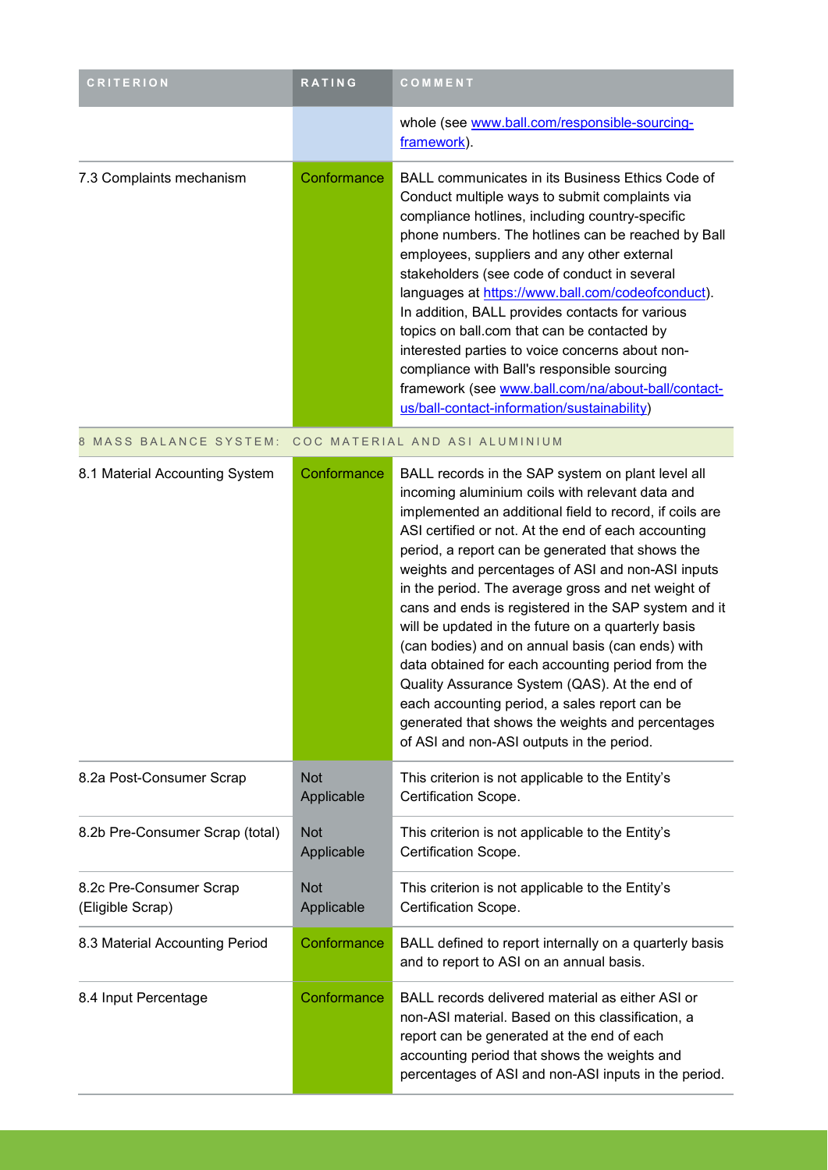| <b>CRITERION</b>                            | RATING                   | COMMENT                                                                                                                                                                                                                                                                                                                                                                                                                                                                                                                                                                                                                                                                                                                                                                                                         |
|---------------------------------------------|--------------------------|-----------------------------------------------------------------------------------------------------------------------------------------------------------------------------------------------------------------------------------------------------------------------------------------------------------------------------------------------------------------------------------------------------------------------------------------------------------------------------------------------------------------------------------------------------------------------------------------------------------------------------------------------------------------------------------------------------------------------------------------------------------------------------------------------------------------|
|                                             |                          | whole (see www.ball.com/responsible-sourcing-<br>framework).                                                                                                                                                                                                                                                                                                                                                                                                                                                                                                                                                                                                                                                                                                                                                    |
| 7.3 Complaints mechanism                    | Conformance              | <b>BALL communicates in its Business Ethics Code of</b><br>Conduct multiple ways to submit complaints via<br>compliance hotlines, including country-specific<br>phone numbers. The hotlines can be reached by Ball<br>employees, suppliers and any other external<br>stakeholders (see code of conduct in several<br>languages at https://www.ball.com/codeofconduct).<br>In addition, BALL provides contacts for various<br>topics on ball.com that can be contacted by<br>interested parties to voice concerns about non-<br>compliance with Ball's responsible sourcing<br>framework (see www.ball.com/na/about-ball/contact-<br>us/ball-contact-information/sustainability)                                                                                                                                 |
| 8 MASS BALANCE SYSTEM:                      |                          | COC MATERIAL AND ASI ALUMINIUM                                                                                                                                                                                                                                                                                                                                                                                                                                                                                                                                                                                                                                                                                                                                                                                  |
| 8.1 Material Accounting System              | Conformance              | BALL records in the SAP system on plant level all<br>incoming aluminium coils with relevant data and<br>implemented an additional field to record, if coils are<br>ASI certified or not. At the end of each accounting<br>period, a report can be generated that shows the<br>weights and percentages of ASI and non-ASI inputs<br>in the period. The average gross and net weight of<br>cans and ends is registered in the SAP system and it<br>will be updated in the future on a quarterly basis<br>(can bodies) and on annual basis (can ends) with<br>data obtained for each accounting period from the<br>Quality Assurance System (QAS). At the end of<br>each accounting period, a sales report can be<br>generated that shows the weights and percentages<br>of ASI and non-ASI outputs in the period. |
| 8.2a Post-Consumer Scrap                    | <b>Not</b><br>Applicable | This criterion is not applicable to the Entity's<br>Certification Scope.                                                                                                                                                                                                                                                                                                                                                                                                                                                                                                                                                                                                                                                                                                                                        |
| 8.2b Pre-Consumer Scrap (total)             | <b>Not</b><br>Applicable | This criterion is not applicable to the Entity's<br>Certification Scope.                                                                                                                                                                                                                                                                                                                                                                                                                                                                                                                                                                                                                                                                                                                                        |
| 8.2c Pre-Consumer Scrap<br>(Eligible Scrap) | <b>Not</b><br>Applicable | This criterion is not applicable to the Entity's<br>Certification Scope.                                                                                                                                                                                                                                                                                                                                                                                                                                                                                                                                                                                                                                                                                                                                        |
| 8.3 Material Accounting Period              | Conformance              | BALL defined to report internally on a quarterly basis<br>and to report to ASI on an annual basis.                                                                                                                                                                                                                                                                                                                                                                                                                                                                                                                                                                                                                                                                                                              |
| 8.4 Input Percentage                        | Conformance              | BALL records delivered material as either ASI or<br>non-ASI material. Based on this classification, a<br>report can be generated at the end of each<br>accounting period that shows the weights and<br>percentages of ASI and non-ASI inputs in the period.                                                                                                                                                                                                                                                                                                                                                                                                                                                                                                                                                     |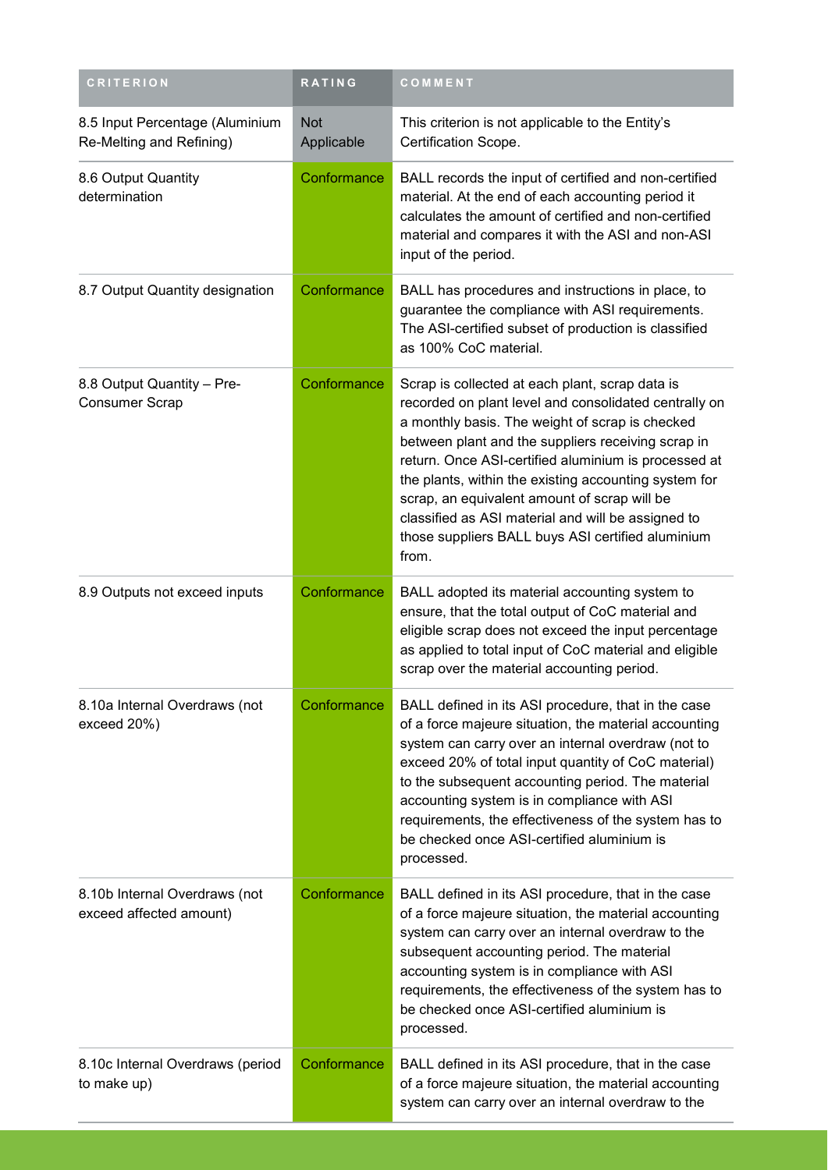| <b>CRITERION</b>                                            | RATING                   | COMMENT                                                                                                                                                                                                                                                                                                                                                                                                                                                                                                |
|-------------------------------------------------------------|--------------------------|--------------------------------------------------------------------------------------------------------------------------------------------------------------------------------------------------------------------------------------------------------------------------------------------------------------------------------------------------------------------------------------------------------------------------------------------------------------------------------------------------------|
| 8.5 Input Percentage (Aluminium<br>Re-Melting and Refining) | <b>Not</b><br>Applicable | This criterion is not applicable to the Entity's<br>Certification Scope.                                                                                                                                                                                                                                                                                                                                                                                                                               |
| 8.6 Output Quantity<br>determination                        | Conformance              | BALL records the input of certified and non-certified<br>material. At the end of each accounting period it<br>calculates the amount of certified and non-certified<br>material and compares it with the ASI and non-ASI<br>input of the period.                                                                                                                                                                                                                                                        |
| 8.7 Output Quantity designation                             | Conformance              | BALL has procedures and instructions in place, to<br>guarantee the compliance with ASI requirements.<br>The ASI-certified subset of production is classified<br>as 100% CoC material.                                                                                                                                                                                                                                                                                                                  |
| 8.8 Output Quantity - Pre-<br><b>Consumer Scrap</b>         | Conformance              | Scrap is collected at each plant, scrap data is<br>recorded on plant level and consolidated centrally on<br>a monthly basis. The weight of scrap is checked<br>between plant and the suppliers receiving scrap in<br>return. Once ASI-certified aluminium is processed at<br>the plants, within the existing accounting system for<br>scrap, an equivalent amount of scrap will be<br>classified as ASI material and will be assigned to<br>those suppliers BALL buys ASI certified aluminium<br>from. |
| 8.9 Outputs not exceed inputs                               | Conformance              | BALL adopted its material accounting system to<br>ensure, that the total output of CoC material and<br>eligible scrap does not exceed the input percentage<br>as applied to total input of CoC material and eligible<br>scrap over the material accounting period.                                                                                                                                                                                                                                     |
| 8.10a Internal Overdraws (not<br>exceed 20%)                | Conformance              | BALL defined in its ASI procedure, that in the case<br>of a force majeure situation, the material accounting<br>system can carry over an internal overdraw (not to<br>exceed 20% of total input quantity of CoC material)<br>to the subsequent accounting period. The material<br>accounting system is in compliance with ASI<br>requirements, the effectiveness of the system has to<br>be checked once ASI-certified aluminium is<br>processed.                                                      |
| 8.10b Internal Overdraws (not<br>exceed affected amount)    | Conformance              | BALL defined in its ASI procedure, that in the case<br>of a force majeure situation, the material accounting<br>system can carry over an internal overdraw to the<br>subsequent accounting period. The material<br>accounting system is in compliance with ASI<br>requirements, the effectiveness of the system has to<br>be checked once ASI-certified aluminium is<br>processed.                                                                                                                     |
| 8.10c Internal Overdraws (period<br>to make up)             | Conformance              | BALL defined in its ASI procedure, that in the case<br>of a force majeure situation, the material accounting<br>system can carry over an internal overdraw to the                                                                                                                                                                                                                                                                                                                                      |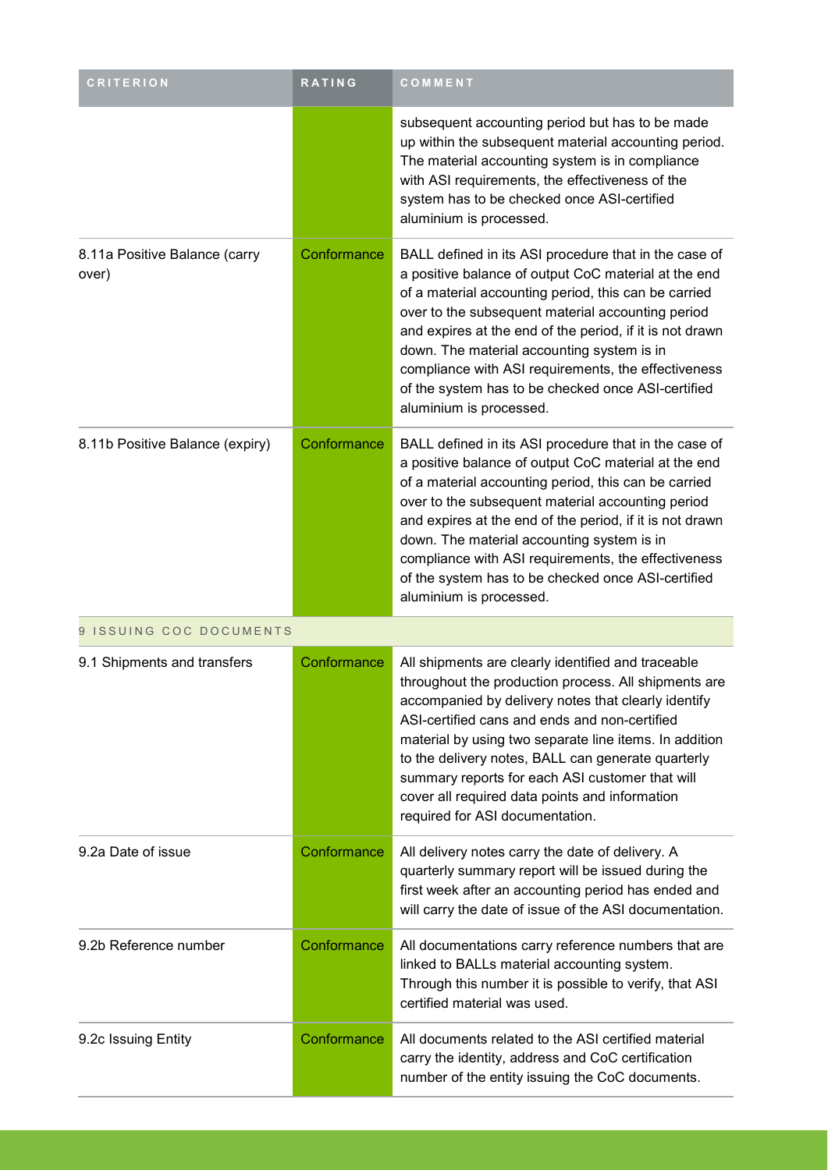| <b>CRITERION</b>                       | RATING      | COMMENT                                                                                                                                                                                                                                                                                                                                                                                                                                                                      |
|----------------------------------------|-------------|------------------------------------------------------------------------------------------------------------------------------------------------------------------------------------------------------------------------------------------------------------------------------------------------------------------------------------------------------------------------------------------------------------------------------------------------------------------------------|
|                                        |             | subsequent accounting period but has to be made<br>up within the subsequent material accounting period.<br>The material accounting system is in compliance<br>with ASI requirements, the effectiveness of the<br>system has to be checked once ASI-certified<br>aluminium is processed.                                                                                                                                                                                      |
| 8.11a Positive Balance (carry<br>over) | Conformance | BALL defined in its ASI procedure that in the case of<br>a positive balance of output CoC material at the end<br>of a material accounting period, this can be carried<br>over to the subsequent material accounting period<br>and expires at the end of the period, if it is not drawn<br>down. The material accounting system is in<br>compliance with ASI requirements, the effectiveness<br>of the system has to be checked once ASI-certified<br>aluminium is processed. |
| 8.11b Positive Balance (expiry)        | Conformance | BALL defined in its ASI procedure that in the case of<br>a positive balance of output CoC material at the end<br>of a material accounting period, this can be carried<br>over to the subsequent material accounting period<br>and expires at the end of the period, if it is not drawn<br>down. The material accounting system is in<br>compliance with ASI requirements, the effectiveness<br>of the system has to be checked once ASI-certified<br>aluminium is processed. |
| 9 ISSUING COC DOCUMENTS                |             |                                                                                                                                                                                                                                                                                                                                                                                                                                                                              |
| 9.1 Shipments and transfers            | Conformance | All shipments are clearly identified and traceable<br>throughout the production process. All shipments are<br>accompanied by delivery notes that clearly identify<br>ASI-certified cans and ends and non-certified<br>material by using two separate line items. In addition<br>to the delivery notes, BALL can generate quarterly<br>summary reports for each ASI customer that will<br>cover all required data points and information<br>required for ASI documentation.   |
| 9.2a Date of issue                     | Conformance | All delivery notes carry the date of delivery. A<br>quarterly summary report will be issued during the<br>first week after an accounting period has ended and<br>will carry the date of issue of the ASI documentation.                                                                                                                                                                                                                                                      |
| 9.2b Reference number                  | Conformance | All documentations carry reference numbers that are<br>linked to BALLs material accounting system.<br>Through this number it is possible to verify, that ASI<br>certified material was used.                                                                                                                                                                                                                                                                                 |
| 9.2c Issuing Entity                    | Conformance | All documents related to the ASI certified material<br>carry the identity, address and CoC certification<br>number of the entity issuing the CoC documents.                                                                                                                                                                                                                                                                                                                  |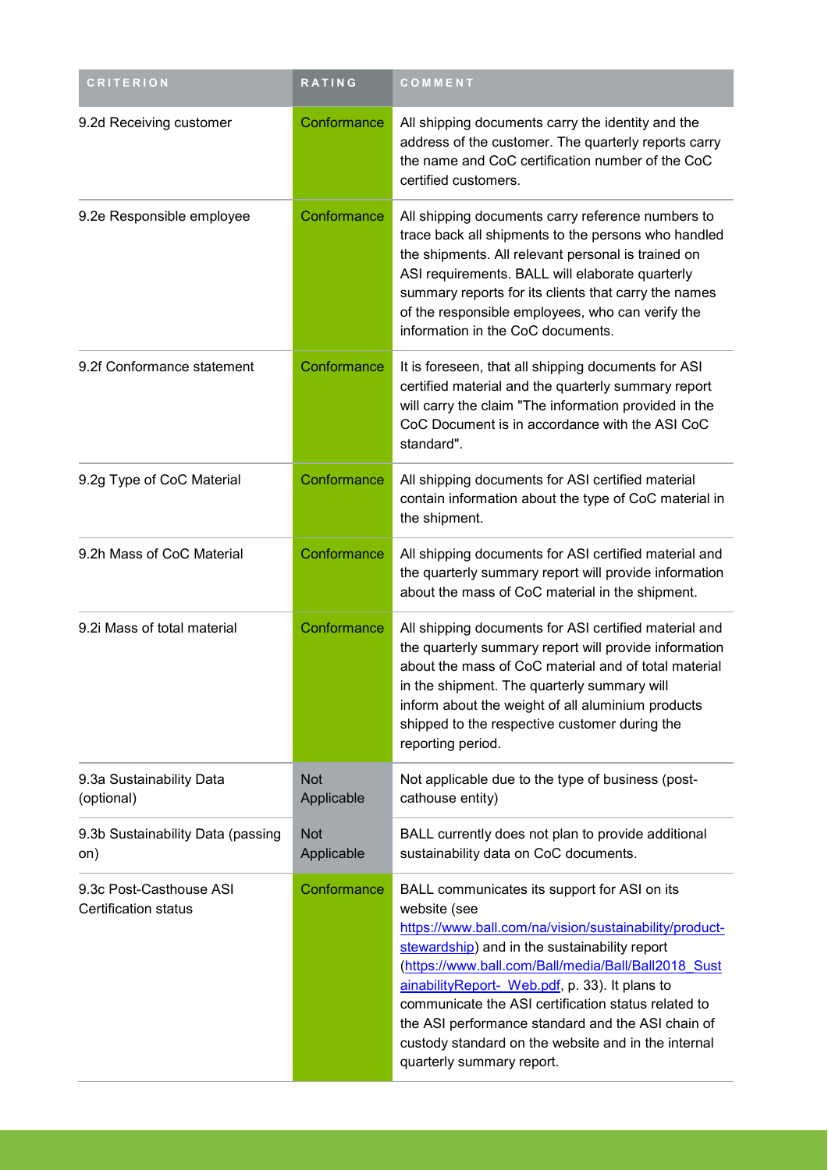| <b>CRITERION</b>                                       | <b>RATING</b>            | COMMENT                                                                                                                                                                                                                                                                                                                                                                                                                                                                          |
|--------------------------------------------------------|--------------------------|----------------------------------------------------------------------------------------------------------------------------------------------------------------------------------------------------------------------------------------------------------------------------------------------------------------------------------------------------------------------------------------------------------------------------------------------------------------------------------|
| 9.2d Receiving customer                                | Conformance              | All shipping documents carry the identity and the<br>address of the customer. The quarterly reports carry<br>the name and CoC certification number of the CoC<br>certified customers.                                                                                                                                                                                                                                                                                            |
| 9.2e Responsible employee                              | Conformance              | All shipping documents carry reference numbers to<br>trace back all shipments to the persons who handled<br>the shipments. All relevant personal is trained on<br>ASI requirements. BALL will elaborate quarterly<br>summary reports for its clients that carry the names<br>of the responsible employees, who can verify the<br>information in the CoC documents.                                                                                                               |
| 9.2f Conformance statement                             | Conformance              | It is foreseen, that all shipping documents for ASI<br>certified material and the quarterly summary report<br>will carry the claim "The information provided in the<br>CoC Document is in accordance with the ASI CoC<br>standard".                                                                                                                                                                                                                                              |
| 9.2g Type of CoC Material                              | Conformance              | All shipping documents for ASI certified material<br>contain information about the type of CoC material in<br>the shipment.                                                                                                                                                                                                                                                                                                                                                      |
| 9.2h Mass of CoC Material                              | Conformance              | All shipping documents for ASI certified material and<br>the quarterly summary report will provide information<br>about the mass of CoC material in the shipment.                                                                                                                                                                                                                                                                                                                |
| 9.2i Mass of total material                            | Conformance              | All shipping documents for ASI certified material and<br>the quarterly summary report will provide information<br>about the mass of CoC material and of total material<br>in the shipment. The quarterly summary will<br>inform about the weight of all aluminium products<br>shipped to the respective customer during the<br>reporting period.                                                                                                                                 |
| 9.3a Sustainability Data<br>(optional)                 | <b>Not</b><br>Applicable | Not applicable due to the type of business (post-<br>cathouse entity)                                                                                                                                                                                                                                                                                                                                                                                                            |
| 9.3b Sustainability Data (passing<br>on)               | <b>Not</b><br>Applicable | BALL currently does not plan to provide additional<br>sustainability data on CoC documents.                                                                                                                                                                                                                                                                                                                                                                                      |
| 9.3c Post-Casthouse ASI<br><b>Certification status</b> | Conformance              | BALL communicates its support for ASI on its<br>website (see<br>https://www.ball.com/na/vision/sustainability/product-<br>stewardship) and in the sustainability report<br>(https://www.ball.com/Ball/media/Ball/Ball2018 Sust<br>ainabilityReport- Web.pdf, p. 33). It plans to<br>communicate the ASI certification status related to<br>the ASI performance standard and the ASI chain of<br>custody standard on the website and in the internal<br>quarterly summary report. |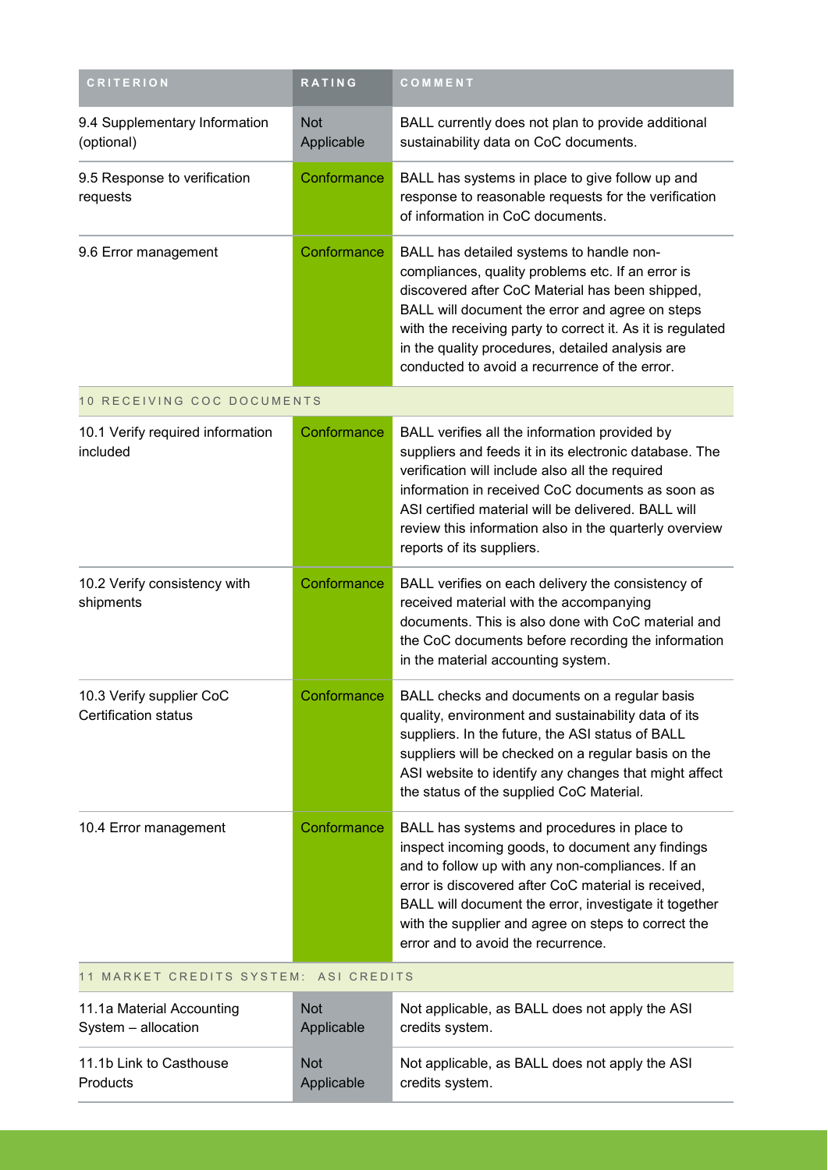| <b>CRITERION</b>                                        | <b>RATING</b>            | COMMENT                                                                                                                                                                                                                                                                                                                                                                |  |  |
|---------------------------------------------------------|--------------------------|------------------------------------------------------------------------------------------------------------------------------------------------------------------------------------------------------------------------------------------------------------------------------------------------------------------------------------------------------------------------|--|--|
| 9.4 Supplementary Information<br>(optional)             | <b>Not</b><br>Applicable | BALL currently does not plan to provide additional<br>sustainability data on CoC documents.                                                                                                                                                                                                                                                                            |  |  |
| 9.5 Response to verification<br>requests                | Conformance              | BALL has systems in place to give follow up and<br>response to reasonable requests for the verification<br>of information in CoC documents.                                                                                                                                                                                                                            |  |  |
| 9.6 Error management                                    | Conformance              | BALL has detailed systems to handle non-<br>compliances, quality problems etc. If an error is<br>discovered after CoC Material has been shipped,<br>BALL will document the error and agree on steps<br>with the receiving party to correct it. As it is regulated<br>in the quality procedures, detailed analysis are<br>conducted to avoid a recurrence of the error. |  |  |
| 10 RECEIVING COC DOCUMENTS                              |                          |                                                                                                                                                                                                                                                                                                                                                                        |  |  |
| 10.1 Verify required information<br>included            | Conformance              | BALL verifies all the information provided by<br>suppliers and feeds it in its electronic database. The<br>verification will include also all the required<br>information in received CoC documents as soon as<br>ASI certified material will be delivered. BALL will<br>review this information also in the quarterly overview<br>reports of its suppliers.           |  |  |
| 10.2 Verify consistency with<br>shipments               | Conformance              | BALL verifies on each delivery the consistency of<br>received material with the accompanying<br>documents. This is also done with CoC material and<br>the CoC documents before recording the information<br>in the material accounting system.                                                                                                                         |  |  |
| 10.3 Verify supplier CoC<br><b>Certification status</b> | Conformance              | BALL checks and documents on a regular basis<br>quality, environment and sustainability data of its<br>suppliers. In the future, the ASI status of BALL<br>suppliers will be checked on a regular basis on the<br>ASI website to identify any changes that might affect<br>the status of the supplied CoC Material.                                                    |  |  |
| 10.4 Error management                                   | Conformance              | BALL has systems and procedures in place to<br>inspect incoming goods, to document any findings<br>and to follow up with any non-compliances. If an<br>error is discovered after CoC material is received,<br>BALL will document the error, investigate it together<br>with the supplier and agree on steps to correct the<br>error and to avoid the recurrence.       |  |  |
| 11 MARKET CREDITS SYSTEM: ASI CREDITS                   |                          |                                                                                                                                                                                                                                                                                                                                                                        |  |  |
| 11.1a Material Accounting<br>System - allocation        | <b>Not</b><br>Applicable | Not applicable, as BALL does not apply the ASI<br>credits system.                                                                                                                                                                                                                                                                                                      |  |  |
| 11.1b Link to Casthouse<br>Products                     | <b>Not</b><br>Applicable | Not applicable, as BALL does not apply the ASI<br>credits system.                                                                                                                                                                                                                                                                                                      |  |  |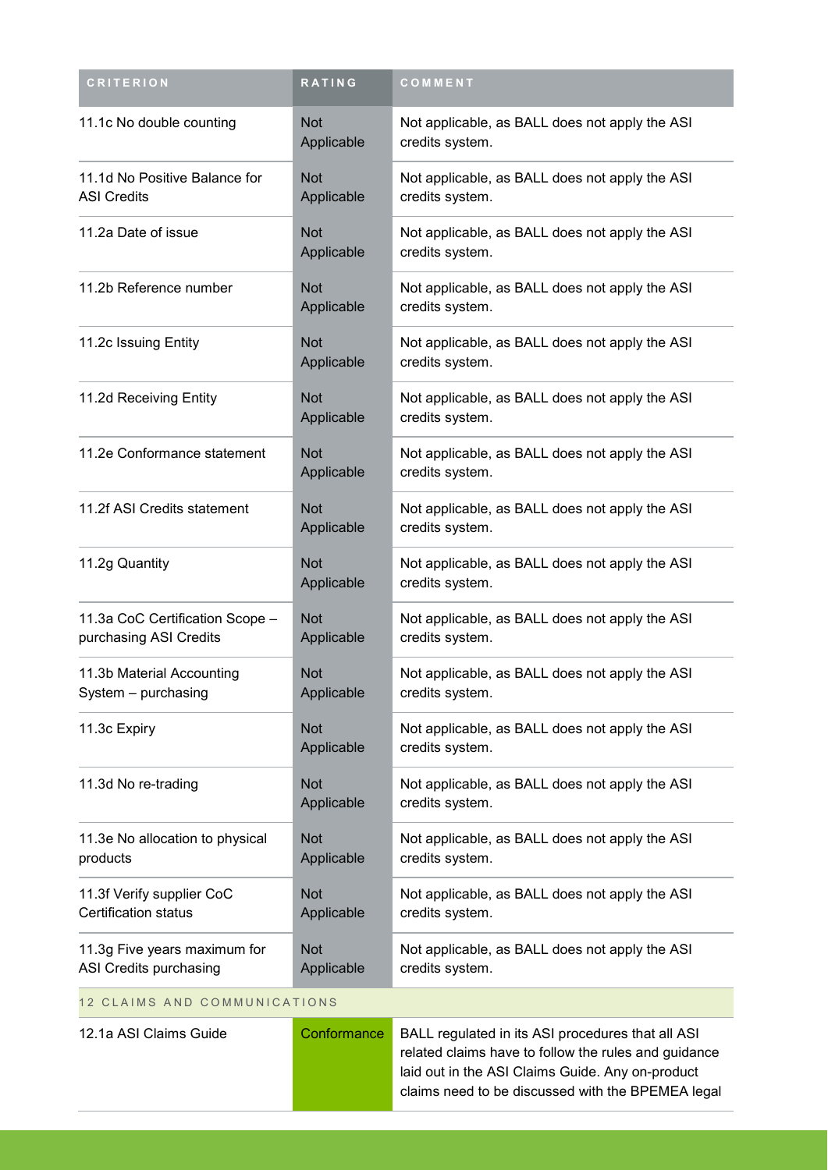| <b>CRITERION</b>                                          | RATING                   | COMMENT                                                                                                                                                                                                            |  |  |
|-----------------------------------------------------------|--------------------------|--------------------------------------------------------------------------------------------------------------------------------------------------------------------------------------------------------------------|--|--|
| 11.1c No double counting                                  | <b>Not</b><br>Applicable | Not applicable, as BALL does not apply the ASI<br>credits system.                                                                                                                                                  |  |  |
| 11.1d No Positive Balance for<br><b>ASI Credits</b>       | <b>Not</b><br>Applicable | Not applicable, as BALL does not apply the ASI<br>credits system.                                                                                                                                                  |  |  |
| 11.2a Date of issue                                       | <b>Not</b><br>Applicable | Not applicable, as BALL does not apply the ASI<br>credits system.                                                                                                                                                  |  |  |
| 11.2b Reference number                                    | <b>Not</b><br>Applicable | Not applicable, as BALL does not apply the ASI<br>credits system.                                                                                                                                                  |  |  |
| 11.2c Issuing Entity                                      | <b>Not</b><br>Applicable | Not applicable, as BALL does not apply the ASI<br>credits system.                                                                                                                                                  |  |  |
| 11.2d Receiving Entity                                    | <b>Not</b><br>Applicable | Not applicable, as BALL does not apply the ASI<br>credits system.                                                                                                                                                  |  |  |
| 11.2e Conformance statement                               | <b>Not</b><br>Applicable | Not applicable, as BALL does not apply the ASI<br>credits system.                                                                                                                                                  |  |  |
| 11.2f ASI Credits statement                               | <b>Not</b><br>Applicable | Not applicable, as BALL does not apply the ASI<br>credits system.                                                                                                                                                  |  |  |
| 11.2g Quantity                                            | <b>Not</b><br>Applicable | Not applicable, as BALL does not apply the ASI<br>credits system.                                                                                                                                                  |  |  |
| 11.3a CoC Certification Scope -<br>purchasing ASI Credits | <b>Not</b><br>Applicable | Not applicable, as BALL does not apply the ASI<br>credits system.                                                                                                                                                  |  |  |
| 11.3b Material Accounting<br>System - purchasing          | <b>Not</b><br>Applicable | Not applicable, as BALL does not apply the ASI<br>credits system.                                                                                                                                                  |  |  |
| 11.3c Expiry                                              | <b>Not</b><br>Applicable | Not applicable, as BALL does not apply the ASI<br>credits system.                                                                                                                                                  |  |  |
| 11.3d No re-trading                                       | <b>Not</b><br>Applicable | Not applicable, as BALL does not apply the ASI<br>credits system.                                                                                                                                                  |  |  |
| 11.3e No allocation to physical<br>products               | <b>Not</b><br>Applicable | Not applicable, as BALL does not apply the ASI<br>credits system.                                                                                                                                                  |  |  |
| 11.3f Verify supplier CoC<br>Certification status         | <b>Not</b><br>Applicable | Not applicable, as BALL does not apply the ASI<br>credits system.                                                                                                                                                  |  |  |
| 11.3g Five years maximum for<br>ASI Credits purchasing    | <b>Not</b><br>Applicable | Not applicable, as BALL does not apply the ASI<br>credits system.                                                                                                                                                  |  |  |
| 12 CLAIMS AND COMMUNICATIONS                              |                          |                                                                                                                                                                                                                    |  |  |
| 12.1a ASI Claims Guide                                    | Conformance              | BALL regulated in its ASI procedures that all ASI<br>related claims have to follow the rules and guidance<br>laid out in the ASI Claims Guide. Any on-product<br>claims need to be discussed with the BPEMEA legal |  |  |